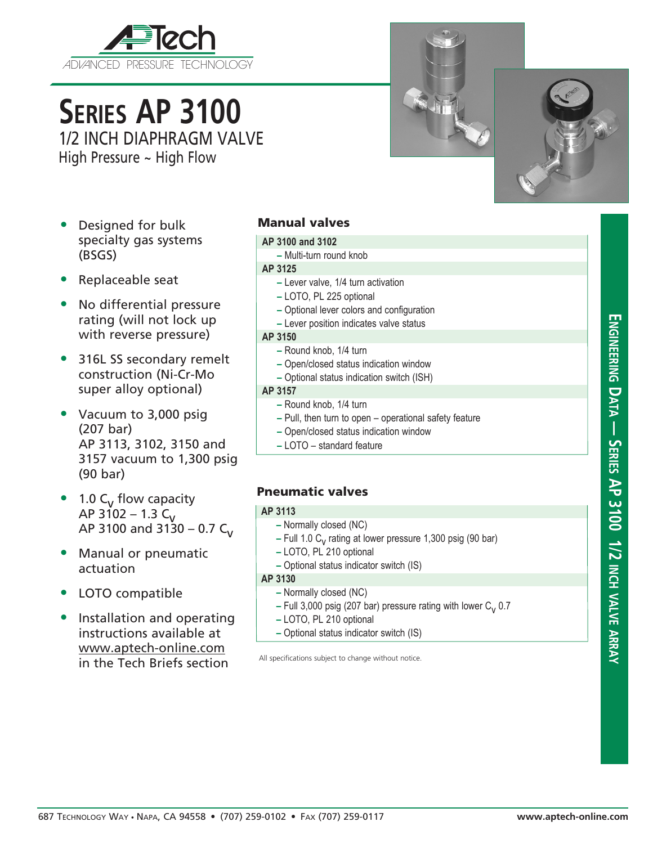

# **Series AP 3100** 1/2 INCH DIAPHRAGM VALVE

High Pressure ~ High Flow



- Designed for bulk specialty gas systems (BSGS)
- Replaceable seat
- No differential pressure rating (will not lock up with reverse pressure)
- 316L SS secondary remelt construction (Ni-Cr-Mo super alloy optional)
- Vacuum to 3,000 psig (207 bar) AP 3113, 3102, 3150 and 3157 vacuum to 1,300 psig (90 bar)
- 1.0  $C_V$  flow capacity AP 3102 – 1.3  $C_V$ AP 3100 and 3130 – 0.7 C<sub>V</sub>
- Manual or pneumatic actuation
- LOTO compatible
- Installation and operating instructions available at www.aptech-online.com in the Tech Briefs section

# Manual valves

# **AP 3100 and 3102**

**–** Multi-turn round knob

## **AP 3125**

- **–** Lever valve, 1/4 turn activation
- **–** LOTO, PL 225 optional
- **–** Optional lever colors and configuration
- **–** Lever position indicates valve status

#### **AP 3150**

- **–** Round knob, 1/4 turn
- **–** Open/closed status indication window
- **–** Optional status indication switch (ISH)

#### **AP 3157**

- **–** Round knob, 1/4 turn
- **–** Pull, then turn to open operational safety feature
- **–** Open/closed status indication window
- **–** LOTO standard feature

# Pneumatic valves

## **AP 3113**

- **–** Normally closed (NC)
- **–** Full 1.0 C<sub>v</sub> rating at lower pressure 1,300 psig (90 bar)
- **–** LOTO, PL 210 optional
- **–** Optional status indicator switch (IS)

#### **AP 3130**

- **–** Normally closed (NC)
- **–** Full 3,000 psig (207 bar) pressure rating with lower C<sub>v</sub> 0.7
- **–** LOTO, PL 210 optional
- **–** Optional status indicator switch (IS)

All specifications subject to change without notice.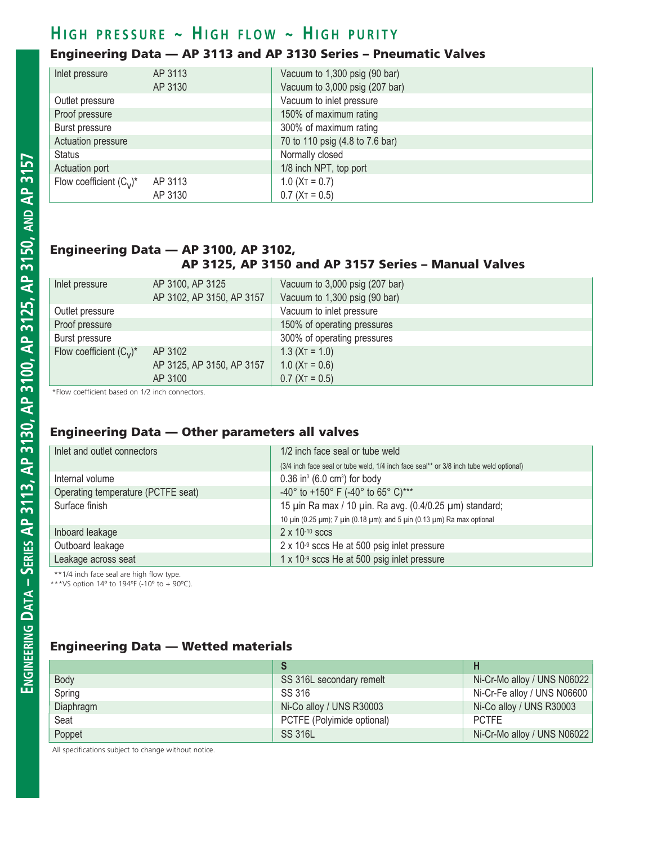# $H$  **i** GH PRESSURE ~ HIGH FLOW ~ HIGH PURITY

# Engineering Data — AP 3113 and AP 3130 Series – Pneumatic Valves

| Inlet pressure             | AP 3113 | Vacuum to 1,300 psig (90 bar)   |  |
|----------------------------|---------|---------------------------------|--|
|                            | AP 3130 | Vacuum to 3,000 psig (207 bar)  |  |
| Outlet pressure            |         | Vacuum to inlet pressure        |  |
| Proof pressure             |         | 150% of maximum rating          |  |
| Burst pressure             |         | 300% of maximum rating          |  |
| Actuation pressure         |         | 70 to 110 psig (4.8 to 7.6 bar) |  |
| <b>Status</b>              |         | Normally closed                 |  |
| Actuation port             |         | 1/8 inch NPT, top port          |  |
| Flow coefficient $(C_v)^*$ | AP 3113 | $1.0$ (X <sub>T</sub> = 0.7)    |  |
|                            | AP 3130 | $0.7$ ( $XT = 0.5$ )            |  |

#### Engineering Data — AP 3100, AP 3102, AP 3125, AP 3150 and AP 3157 Series – Manual Valves

| Inlet pressure             | AP 3100, AP 3125<br>AP 3102, AP 3150, AP 3157 | Vacuum to $3,000$ psig (207 bar)<br>Vacuum to 1,300 psig (90 bar) |
|----------------------------|-----------------------------------------------|-------------------------------------------------------------------|
| Outlet pressure            | Vacuum to inlet pressure                      |                                                                   |
| Proof pressure             |                                               | 150% of operating pressures                                       |
| Burst pressure             |                                               | 300% of operating pressures                                       |
| Flow coefficient $(C_v)^*$ | AP 3102                                       | $1.3$ (X <sub>T</sub> = 1.0)                                      |
|                            | AP 3125, AP 3150, AP 3157                     | $1.0$ (X <sub>T</sub> = 0.6)                                      |
|                            | AP 3100                                       | $0.7$ (X <sub>T</sub> = 0.5)                                      |

\*Flow coefficient based on 1/2 inch connectors.

#### Engineering Data — Other parameters all valves

| Inlet and outlet connectors        | 1/2 inch face seal or tube weld                                                        |  |
|------------------------------------|----------------------------------------------------------------------------------------|--|
|                                    | (3/4 inch face seal or tube weld, 1/4 inch face seal** or 3/8 inch tube weld optional) |  |
| Internal volume                    | $0.36$ in <sup>3</sup> (6.0 cm <sup>3</sup> ) for body                                 |  |
| Operating temperature (PCTFE seat) | -40° to +150° F (-40° to 65° C)***                                                     |  |
| Surface finish                     | 15 uin Ra max / 10 uin. Ra avg. (0.4/0.25 um) standard;                                |  |
|                                    | 10 μin (0.25 μm); 7 μin (0.18 μm); and 5 μin (0.13 μm) Ra max optional                 |  |
| Inboard leakage                    | $2 \times 10^{-10}$ sccs                                                               |  |
| Outboard leakage                   | 2 x 10-9 sccs He at 500 psig inlet pressure                                            |  |
| Leakage across seat                | 1 x 10-9 sccs He at 500 psig inlet pressure                                            |  |

\*\*1/4 inch face seal are high flow type.

\*\*\*VS option 14º to 194ºF (-10º to + 90ºC).

# Engineering Data — Wetted materials

| Body      | SS 316L secondary remelt   | Ni-Cr-Mo alloy / UNS N06022 |
|-----------|----------------------------|-----------------------------|
| Spring    | SS 316                     | Ni-Cr-Fe alloy / UNS N06600 |
| Diaphragm | Ni-Co alloy / UNS R30003   | Ni-Co alloy / UNS R30003    |
| Seat      | PCTFE (Polyimide optional) | <b>PCTFE</b>                |
| Poppet    | <b>SS 316L</b>             | Ni-Cr-Mo alloy / UNS N06022 |

All specifications subject to change without notice.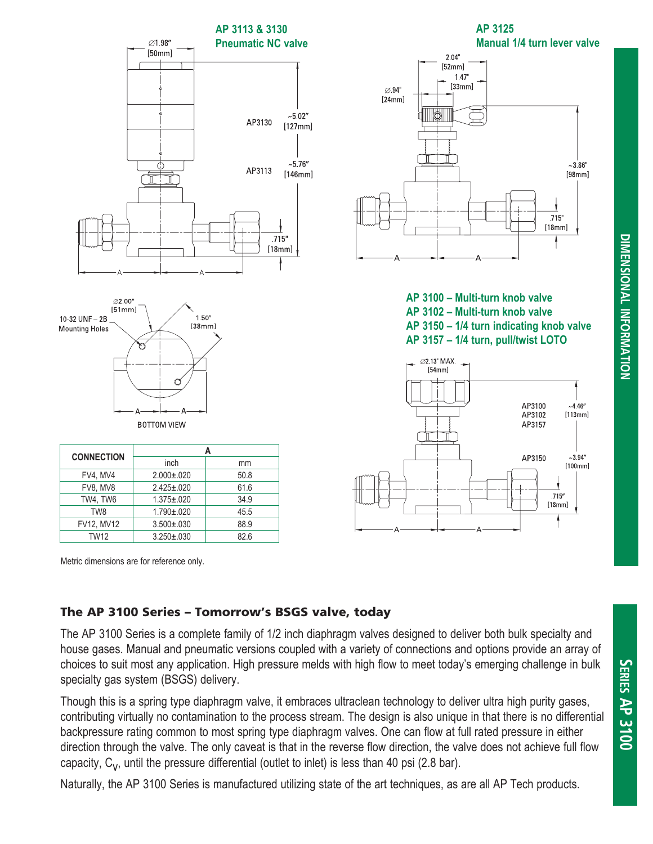

Metric dimensions are for reference only.

## The AP 3100 Series – Tomorrow's BSGS valve, today

The AP 3100 Series is a complete family of 1/2 inch diaphragm valves designed to deliver both bulk specialty and house gases. Manual and pneumatic versions coupled with a variety of connections and options provide an array of choices to suit most any application. High pressure melds with high flow to meet today's emerging challenge in bulk specialty gas system (BSGS) delivery.

Though this is a spring type diaphragm valve, it embraces ultraclean technology to deliver ultra high purity gases, contributing virtually no contamination to the process stream. The design is also unique in that there is no differential backpressure rating common to most spring type diaphragm valves. One can flow at full rated pressure in either direction through the valve. The only caveat is that in the reverse flow direction, the valve does not achieve full flow capacity,  $C_v$ , until the pressure differential (outlet to inlet) is less than 40 psi (2.8 bar).

Naturally, the AP 3100 Series is manufactured utilizing state of the art techniques, as are all AP Tech products.